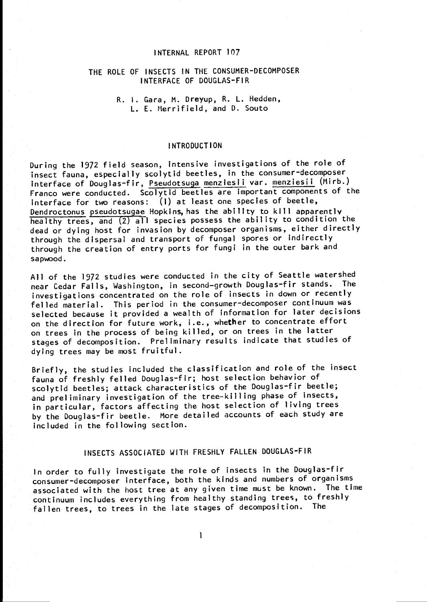## INTERNAL REPORT 107

## THE ROLE OF INSECTS IN THE CONSUMER-DECOMPOSER INTERFACE OF DOUGLAS-FIR

R. 1. Gara, M. Dreyup, R. L. Hedden, L. E. Merrifield, and D. Souto

#### INTRODUCTION

During the 1972 field season, intensive investigations of the role of insect fauna, especially scolytid beetles, in the consumer-decomposer interface of Douglas-fir, Pseudotsuga menziesii var. menziesii (Mirb.) Franco were conducted. Scolytid beetles are important components of the interface for' two reasons: (1) at least one species of beetle, Dendroctonus pseudotsugae Hopkins, has the ability to kill apparently healthy trees, and (2) all species possess the ability to condition the dead or dying host for invasion by decomposer organisms, either directly through the dispersal and transport of fungal spores or indirectly through the creation of entry ports for fungi in the outer bark and sapwood.

All of the 1972 studies were conducted in the city of Seattle watershed<br>seen fader Falls, Washington, in second-growth Douglas-fir stands. The near Cedar Falls, Washington, in second-growth Douglas-fir stands. investigations concentrated on the role of insects in down or recently felled material. This period in the consumer-decomposer continuum was selected because it provided a wealth of information for later decisions on the direction for future work, i.e., whether to concentrate effort on trees in the process of being killed, or on trees in the latter stages of decomposition. Preliminary results indicate that studies of dying trees may be most fruitful.

Briefly, the studies included the classification and role of the insect fauna of freshly felled Douglas-fir; host selection behavior of scolytid beetles; attack characteristics of the Douglas-fir beetle; and preliminary investigation of the tree-killing phase of insects, in particular, factors affecting the host selection of living trees by the Douglas-fir beetle. More detailed accounts of each study are included in the following section.

# INSECTS ASSOCIATED WITH FRESHLY FALLEN DOUGLAS-FIR

In order to fully investigate the role of insects in the Douglas-fir consumer-decomposer interface, both the kinds and numbers of organisms associated with the host tree at any given time must be known. The time continuum includes everything from healthy standing trees, to freshly fallen trees, to trees in the late stages of decomposition. The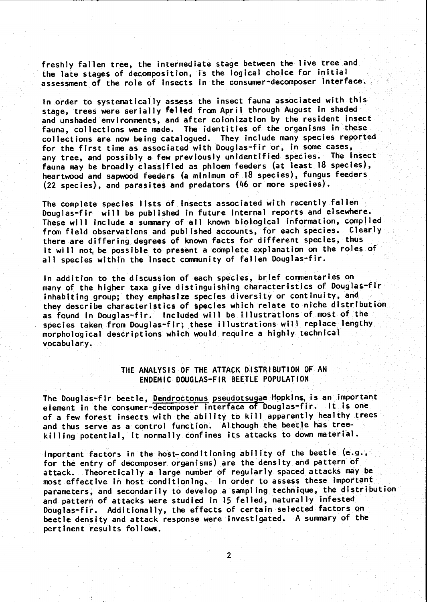freshly fallen tree, the intermediate stage between the live tree and the late stages of decomposition, is the logical choice for initial assessment of the role of insects in the consumer-decomposer interface.

In order to systematically assess the insect fauna associated with this stage, trees were serially felled from April through August In shaded and unshaded environments, and after colonization by the resident insect fauna, collections were made. The identities of the organisms in these collections are now being catalogued. They include many species reported for the first time as associated with Douglas-fir or, in some cases, any tree, and possibly a few previously unidentified species. The insect fauna may be broadly classified as phloem feeders (at least 18 species), heartwood and sapwood feeders (a minimum of 18 species), fungus feeders (22 species), and parasites and predators (46 or more species).

The complete species lists of insects associated with recently fallen Douglas-fir will be published in future internal reports and elsewhere. These will include a summary of all known biological information, compiled from field observations and published accounts, for each species. Clearly there are differing degrees of known facts for different species, thus it will not be possible to present a complete explanation on the roles of all species within the insect community of fallen Douglas-fir.

In addition to the discussion of each species, brief commentaries on many of the higher taxa give distinguishing characteristics of Douglas-fir .inhabiting group; they emphasize species diversity or continuity, and they describe characteristics of species which relate to niche distribution as found In Douglas-fir. Included will be illustrations of most of the species taken from Douglas-fir; these illustrations will replace lengthy morphological descriptions which would require a highly technical vocabulary.

## THE ANALYSIS OF THE ATTACK DISTRIBUTION OF AN ENDEMIC DOUGLAS-FIR BEETLE POPULATION

The Douglas-fir beetle, Dendroctonus pseudotsugae Hopkins, is an important element in the consumer-decomposer interface of Douglas-fir. It is one of a few forest insects with the ability to kill apparently healthy trees and thus serve as a control function. Although the beetle has tree- killing potential, It normally confines its attacks to down material.

Important factors in the host-conditioning ability of the beetle  $(e.g.,$ for the entry of decomposer organisms) are the density and pattern of attack. Theoretically a large number of regularly spaced attacks may be most effective in host conditioning. In order to assess these important parameters; and secondarily to develop a sampling technique, the distribution and pattern of attacks were studied in 15 felled, naturally infested Douglas-fit. Additionally, the effects of certain selected factors on beetle density and attack response were investigated. A summary of the pertinent results follows.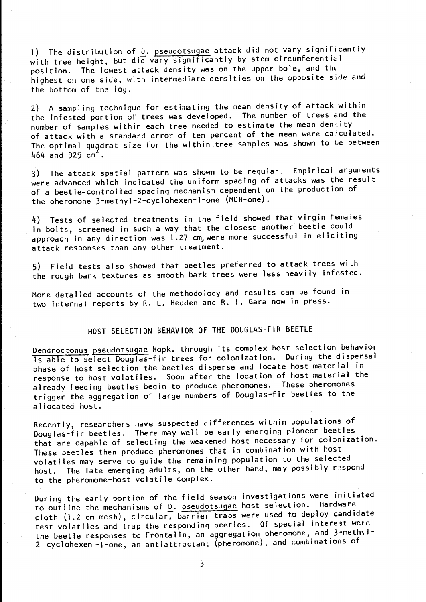1) The distribution of D. pseudotsugae attack did not vary significantly with tree height, but did vary significantly by stem circumferential position. The lowest attack density was on the upper bole, and the highest on one side, with intermediate densities on the opposite side and the bottom of the log.

2) A sampling technique for estimating the mean density of attack within the infested portion of trees was developed. The number of trees and the number of samples within each tree needed to estimate the mean density of attack with a standard error of ten percent of the mean were calculated. The optimal quadrat size for the within-tree samples was shown to be between  $464$  and  $929$  cm<sup>2</sup>.

3) The attack spatial pattern was shown to be regular. Empirical arguments were advanced which indicated the uniform spacing of attacks was the result of a beetle-controlled spacing mechanism dependent on the production of the pheromone 3-methyl-2-cyclohexen-l-one (MCH-one).

4) Tests of selected treatments in the field showed that virgin females in bolts, screened in such a way that the closest another beetle could approach in any direction was 1.27 cm, were more successful in eliciting attack responses than any other treatment.

5) Field tests also showed that beetles preferred to attack trees with the rough bark textures as smooth bark trees were less heavily infested.

More detailed accounts of the methodology and results can be found in two internal reports by R. L. Hedden and R. I. Gara now in press.

# HOST SELECTION BEHAVIOR OF THE DOUGLAS-FIR BEETLE

Dendroctonus pseudotsugae Hopk. through its complex host selection behavior is able to select Douglas-fir trees for colonization. During the dispersal phase of host selection the beetles disperse and locate host material in response to host volatiles. Soon after the location of host material the already feeding beetles begin to produce pheromones. These pheromones trigger the aggregation of large numbers of Douglas-fir beetles to the allocated host.

Recently, researchers have suspected differences within populations of Douglas-fir beetles. There may well be early emerging pioneer beetles that are capable of selecting the weakened host necessary for colonization. These beetles then produce pheromones that in combination with host volatiles may serve to guide the remaining population to the selected host. The late emerging adults, on the other hand, may possibly respond to the pheromone-host volatile complex.

During the early portion of the field season investigations were initiated to outline the mechanisms of  $D$ . pseudotsugae host selection. Hardware cloth (1.2 cm mesh), circular, barrier traps were used to deploy candidate test volatiles and trap the responding beetles. Of special interest were the beetle responses to Frontalin, an aggregation pheromone, and 3-methyl-2 cyclohexen -1-one, an antiattractant (pheromone), and combinations of

3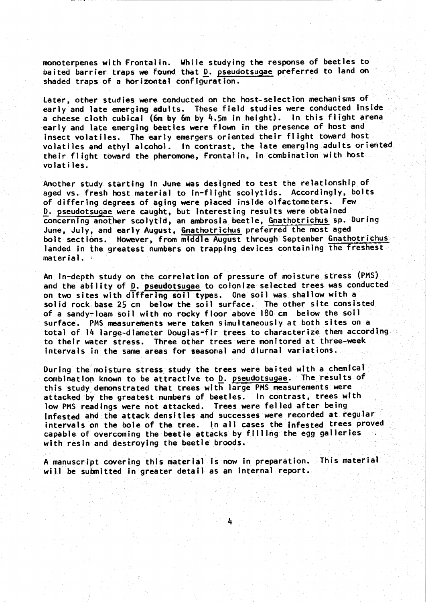monoterpenes with Frontalin. While studying the response of beetles to baited barrier traps we found that D. pseudotsugae preferred to land on shaded traps of a horizontal configuration.

Later, other studies were conducted on the host-selection mechanisms of early and late emerging adults. These field studies were conducted Inside a cheese cloth cubical (6m by 6m by 4.5m in height). In this flight arena early and late emerging beetles were flown in the presence of host and<br>insect volatiles. The early emergers oriented their flight toward host volatiles and ethyl alcohol. In contrast, the late emerging adults oriented their flight toward the pheromone, Frontalin, in combination with host.<br>volatiles.

Another study starting in June was designed to test the relationship of aged vs. fresh host material to in-flight scolytids. Accordingly, bolts of differing degrees of aging were placed Inside olfactometers. Few D. pseudotsugae were caught, but Interesting results were obtained concerning another scolytid, an ambrosia beetle, Gnathotrichus sp. During<br>June, July, and early August, Gnathotrichus preferred the most aged bolt sections. However, from middle August through September Gnathotrichus landed in the greatest numbers on trapping devices containing the freshest material.

An in-depth study on the correlation of pressure of moisture stress (PMS) and the ability of D. pseudotsugae to colonize selected trees was conducted on two sites with differing soil types. One soil was shallow with a solid rock base 25 cm below the soil surface. The other site consisted, of a sandy-loam soil with no rocky floor above 180 cm below the soil surface. PMS measurements were taken simultaneously at both sites on a<br>total of 14 large-diameter Douglas-fir trees to characterize them according to their water stress. Three other trees were monitored at three-week intervals in the same areas for seasonal and diurnal variations.

During the. moisture stress study the trees were baited with a chemical combination known to be attractive to D. pseudotsugae. The results of this study demonstrated that trees with large PMS measurements were attacked by the greatest numbers of beetles. In contrast, trees with low PMS readings were not attacked. Trees were felled after being infested and the attack densities and successes were recorded at regular intervals on the bole of the tree. In all cases the infested trees proved capable of overcoming the beetle attacks by filling the egg galleries with resin and destroying the beetle broods.

A manuscript covering this material is now in preparation. This material will be submitted in greater detail as an internal report.

4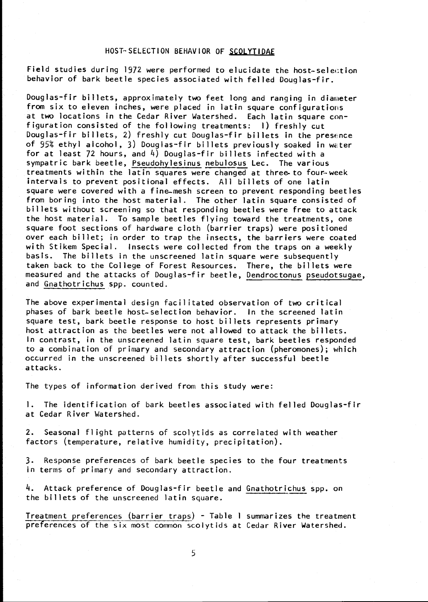### HOST-SELECTION BEHAVIOR OF SCOLYTIDAE

Field studies during 1972 were performed to elucidate the host-selection behavior of bark beetle species associated with felled Douglas-fir.

Douglas-fir billets, approximately two feet long and ranging in dianeter from six to eleven inches, were placed in latin square configurations at two locations in the Cedar River Watershed. Each latin square configuration consisted of the following treatments: 1) freshly cut Douglas-fir billets, 2) freshly cut Douglas-fir billets in the presence of 95% ethyl alcohol, 3) Douglas-fir billets previously soaked in water for at least 72 hours, and 4) Douglas-fir billets infected with a sympatric bark beetle, Pseudohylesinus nebulosus Lec. The various treatments within the latin squares were changed at three-to four week intervals to prevent positional effects. All billets of one latin square were covered with a fine-mesh screen to prevent responding beetles from boring into the host material. The other latin square consisted of billets without screening so that responding beetles were free to attack the host material. To sample beetles flying toward the treatments, one square foot sections of hardware cloth (barrier traps) were positioned over each billet; in order to trap the insects, the barriers were coated with Stikem Special. Insects were collected from the traps on a weekly basis. The billets in the unscreened latin square were subsequently taken back to the College of Forest Resources. There, the billets were measured and the attacks of Douglas-fir beetle, Dendroctonus pseudotsugae, and Gnathotrichus spp. counted.

The above experimental design facilitated observation of two critical phases of bark beetle host-selection behavior. In the screened latin square test, bark beetle response to host billets represents primary host attraction as the beetles were not allowed to attack the billets. In contrast, in the unscreened latin square test, bark beetles responded to a combination of primary and secondary attraction (pheromones); which occurred in the unscreened billets shortly after successful beetle attacks.

The types of information derived from this study were:

1. The identification of bark beetles associated with felled Douglas-fir at Cedar River Watershed.

2. Seasonal flight patterns of scolytids as correlated with weather factors (temperature, relative humidity, precipitation).

3. Response preferences of bark beetle species to the four treatments in terms of primary and secondary attraction.

4. Attack preference of Douglas-fir beetle and Gnathotrichus spp. on the billets of the unscreened latin square.

Treatment preferences (barrier traps) - Table I summarizes the treatment preferences of the six most common scolytids at Cedar River Watershed.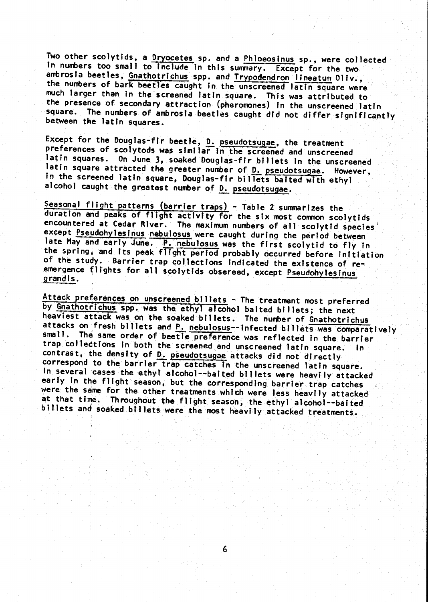Two other scolytids, a <u>Dryocetes</u> sp. and a Phloeosinus sp., were collected<br>In numbers too small to include in this summary. Except for the two ambrosia beetles, Gnathotrichus spp. and Trypodendron lineatum Oliv., the numbers of bark beetles caught in the unscreened latin square were much larger than in the screened latin square. This was attributed to the presence of secondary attraction (pheromones) in the unscreened latin square. The numbers of ambrosia beetles caught did not differ significantly between the latin squares.

Except for the Douglas-fir beetle,  $\underline{D}$ , pseudotsugae, the treatment<br>preferences of scolytods was similar in the screened and unscreened<br>latin squares. On June 3, soaked Douglas-fir billets in the unscreened<br>latin squ alcohol caught the greatest number of D. pseudotsugae.

Seasonal flight patterns (barrier traps) - Table 2 summarizes the<br>duration and peaks of flight activity for the six most common scolytids<br>encountered at Cedar River. The maximum numbers of all scolytid species<br>except Pseud the spring, and its peak flight period probably occurred before initiation<br>of the study. Barrier trap collections indicated the existence of reemergence flights for all scolytids obsereed, except Pseudohylesinus grandis.

Attack preferences on unscreened billets - The treatment most preferred<br>by Gnathotrichus spp. was the ethyl alcohol baited billets; the next<br>heaviest attack was on the soaked billets. The number of Gnathotrichus attacks on fresh billets and P. nebulosus--infected billets was comparatively small. The same order of beetle preference was reflected in the barrier trap collections in both the screened and unscreened latin square. In trap corrections in both the screened and unscreened latin square. In contrast, the density of D. pseudotsugae attacks did not directly correspond to the barrier trap catches in the unscreened latin square. In several cases the ethyl alcohol--baited billets were heavily attacked<br>early in the flight season, but the corresponding barrier trap catches were the same for the other treatments which were less heavily attacked<br>at that time. Throughout the flight season, the ethyl alcohol--baited billets and soaked billets were the most heavily attacked treatments.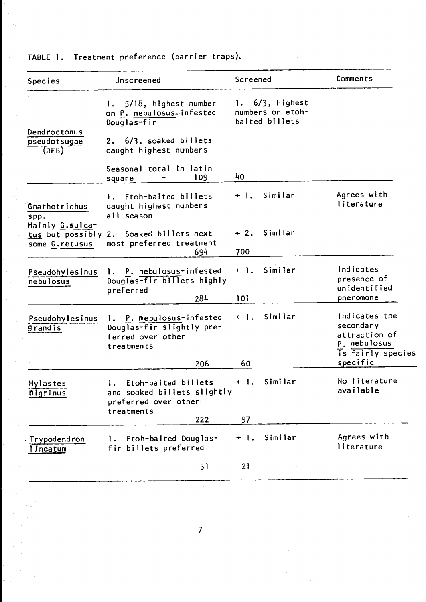| Species                                                                        | Unscreened                                                                                      | Screened                                              | Comments                                                                                     |
|--------------------------------------------------------------------------------|-------------------------------------------------------------------------------------------------|-------------------------------------------------------|----------------------------------------------------------------------------------------------|
|                                                                                | 5/18, highest number<br>on P. nebulosus-infested<br>Douglas-fir                                 | $6/3$ , highest<br>numbers on etoh-<br>baited billets |                                                                                              |
| Dendroctonus<br>pseudotsugae<br>(DFB)                                          | 2. 6/3, soaked billets<br>caught highest numbers                                                |                                                       |                                                                                              |
|                                                                                | Seasonal total in latin<br>109<br>square                                                        | 40                                                    |                                                                                              |
| Gnathotrichus<br>spp.<br>Mainly G.sulca-<br>tus but possibly<br>some G.retusus | Etoh-baited billets<br>Ι.<br>caught highest numbers<br>all season                               | Similar<br>$+$ 1.                                     | Agrees with<br>literature                                                                    |
|                                                                                | Soaked billets next<br>2.<br>most preferred treatment<br>694                                    | Similar<br>$+2.$<br>700                               |                                                                                              |
| Pseudohylesinus<br>nebulosus                                                   | P. nebulosus-infested<br>Ι.<br>Douglas-fir billets highly<br>preferred<br>284                   | Similar<br>$+$ 1.<br>101                              | Indicates<br>presence of<br>unidentified<br>pheromone                                        |
| Pseudohylesinus<br><b>grandis</b>                                              | 1. P. nebulosus-infested<br>Douglas-fir slightly pre-<br>ferred over other<br>treatments<br>206 | Similar<br>$+$ 1.<br>60                               | indicates the<br>secondary<br>attraction of<br>P. nebulosus<br>is fairly species<br>specific |
| Hylastes<br><b>Pigrinus</b>                                                    | Etoh-baited billets<br>1.<br>and soaked billets slightly<br>preferred over other<br>treatments  | Similar<br>$+$ 1.                                     | No literature<br>available                                                                   |
|                                                                                | 222                                                                                             | 97                                                    |                                                                                              |
| Trypodendron<br>lineatum                                                       | Etoh-baited Douglas-<br>$\mathbf{I}$ .<br>fir billets preferred                                 | Similar<br>$+$ 1.                                     | Agrees with<br>literature                                                                    |
|                                                                                | 31                                                                                              | 21                                                    |                                                                                              |

# TABLE 1. Treatment preference (barrier traps).

7